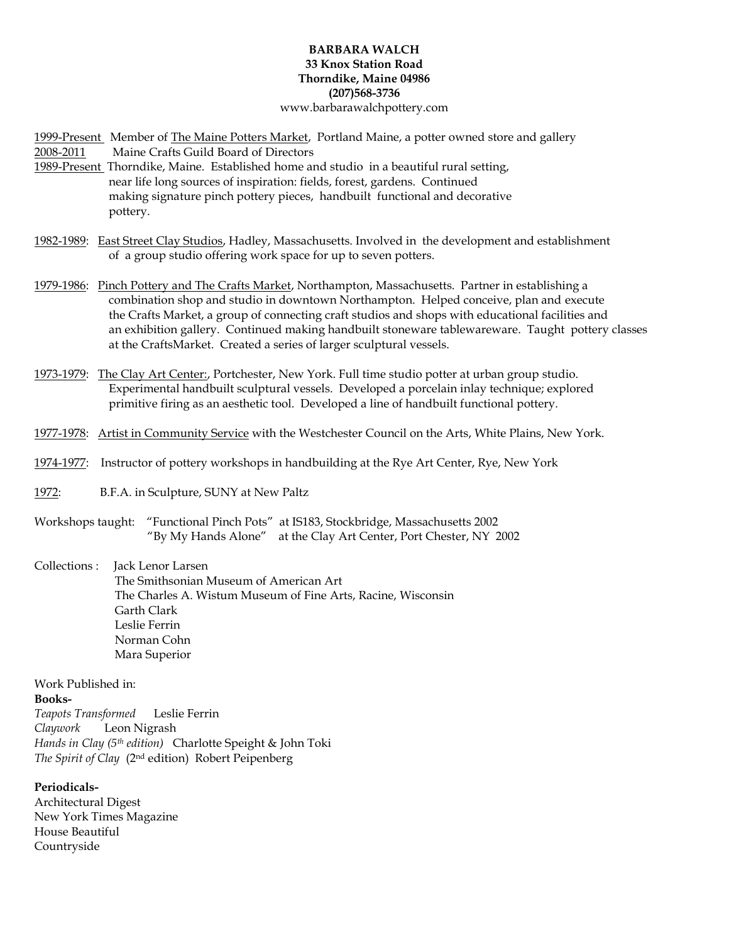## **BARBARA WALCH 33 Knox Station Road Thorndike, Maine 04986 (207)568-3736** www.barbarawalchpottery.com

1999-Present Member of The Maine Potters Market, Portland Maine, a potter owned store and gallery 2008-2011 Maine Crafts Guild Board of Directors

- 1989-Present Thorndike, Maine. Established home and studio in a beautiful rural setting, near life long sources of inspiration: fields, forest, gardens. Continued making signature pinch pottery pieces, handbuilt functional and decorative pottery.
- 1982-1989: East Street Clay Studios, Hadley, Massachusetts. Involved in the development and establishment of a group studio offering work space for up to seven potters.
- 1979-1986: Pinch Pottery and The Crafts Market, Northampton, Massachusetts. Partner in establishing a combination shop and studio in downtown Northampton. Helped conceive, plan and execute the Crafts Market, a group of connecting craft studios and shops with educational facilities and an exhibition gallery. Continued making handbuilt stoneware tablewareware. Taught pottery classes at the CraftsMarket. Created a series of larger sculptural vessels.
- 1973-1979: The Clay Art Center:, Portchester, New York. Full time studio potter at urban group studio. Experimental handbuilt sculptural vessels. Developed a porcelain inlay technique; explored primitive firing as an aesthetic tool. Developed a line of handbuilt functional pottery.
- 1977-1978: Artist in Community Service with the Westchester Council on the Arts, White Plains, New York.
- 1974-1977: Instructor of pottery workshops in handbuilding at the Rye Art Center, Rye, New York
- 1972:B.F.A. in Sculpture, SUNY at New Paltz
- Workshops taught: "Functional Pinch Pots" at IS183, Stockbridge, Massachusetts 2002 "By My Hands Alone" at the Clay Art Center, Port Chester, NY 2002

Collections : Jack Lenor Larsen

 The Smithsonian Museum of American Art The Charles A. Wistum Museum of Fine Arts, Racine, Wisconsin Garth Clark Leslie Ferrin Norman Cohn Mara Superior

Work Published in:

**Books-**

*Teapots Transformed* Leslie Ferrin *Claywork* Leon Nigrash *Hands in Clay (5th edition)* Charlotte Speight & John Toki *The Spirit of Clay* (2nd edition) Robert Peipenberg

## **Periodicals-**

Architectural Digest New York Times Magazine House Beautiful Countryside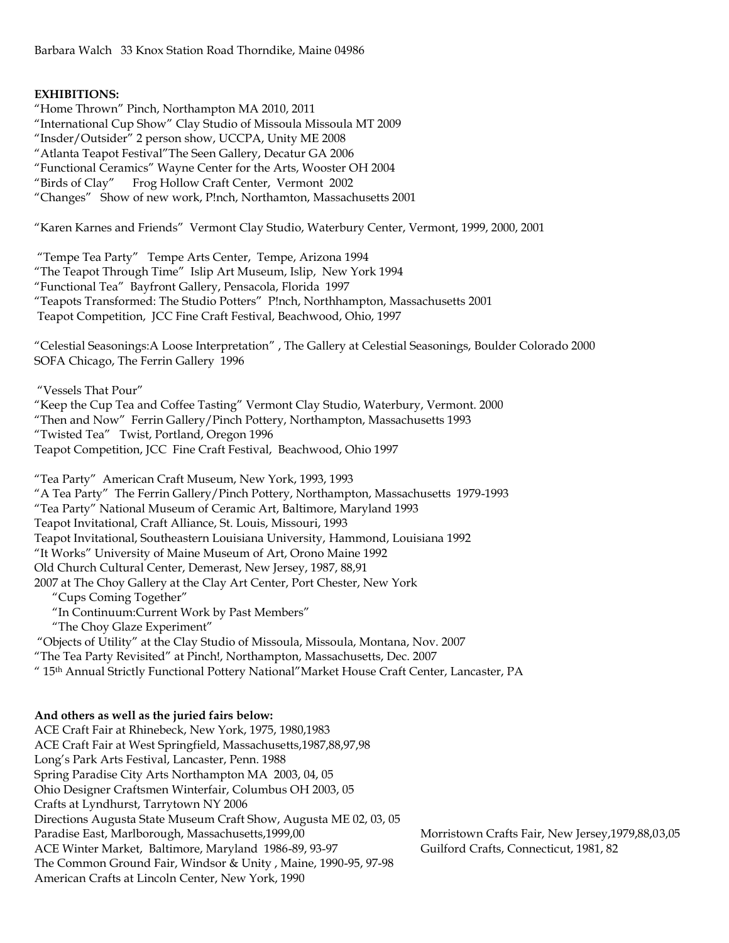## **EXHIBITIONS:**

"Home Thrown" Pinch, Northampton MA 2010, 2011 "International Cup Show" Clay Studio of Missoula Missoula MT 2009 "Insder/Outsider" 2 person show, UCCPA, Unity ME 2008 "Atlanta Teapot Festival"The Seen Gallery, Decatur GA 2006 "Functional Ceramics" Wayne Center for the Arts, Wooster OH 2004 "Birds of Clay" Frog Hollow Craft Center, Vermont 2002 "Changes" Show of new work, P!nch, Northamton, Massachusetts 2001

"Karen Karnes and Friends" Vermont Clay Studio, Waterbury Center, Vermont, 1999, 2000, 2001

"Tempe Tea Party" Tempe Arts Center, Tempe, Arizona 1994 "The Teapot Through Time" Islip Art Museum, Islip, New York 1994 "Functional Tea" Bayfront Gallery, Pensacola, Florida 1997 "Teapots Transformed: The Studio Potters" P!nch, Northhampton, Massachusetts 2001 Teapot Competition, JCC Fine Craft Festival, Beachwood, Ohio, 1997

"Celestial Seasonings:A Loose Interpretation" , The Gallery at Celestial Seasonings, Boulder Colorado 2000 SOFA Chicago, The Ferrin Gallery 1996

"Vessels That Pour"

"Keep the Cup Tea and Coffee Tasting" Vermont Clay Studio, Waterbury, Vermont. 2000 "Then and Now" Ferrin Gallery/Pinch Pottery, Northampton, Massachusetts 1993 "Twisted Tea" Twist, Portland, Oregon 1996 Teapot Competition, JCC Fine Craft Festival, Beachwood, Ohio 1997

"Tea Party" American Craft Museum, New York, 1993, 1993 "A Tea Party" The Ferrin Gallery/Pinch Pottery, Northampton, Massachusetts 1979-1993 "Tea Party" National Museum of Ceramic Art, Baltimore, Maryland 1993 Teapot Invitational, Craft Alliance, St. Louis, Missouri, 1993 Teapot Invitational, Southeastern Louisiana University, Hammond, Louisiana 1992 "It Works" University of Maine Museum of Art, Orono Maine 1992 Old Church Cultural Center, Demerast, New Jersey, 1987, 88,91 2007 at The Choy Gallery at the Clay Art Center, Port Chester, New York "Cups Coming Together"

- "In Continuum:Current Work by Past Members"
- "The Choy Glaze Experiment"

"Objects of Utility" at the Clay Studio of Missoula, Missoula, Montana, Nov. 2007

"The Tea Party Revisited" at Pinch!, Northampton, Massachusetts, Dec. 2007

" 15th Annual Strictly Functional Pottery National"Market House Craft Center, Lancaster, PA

## **And others as well as the juried fairs below:**

ACE Craft Fair at Rhinebeck, New York, 1975, 1980,1983 ACE Craft Fair at West Springfield, Massachusetts,1987,88,97,98 Long's Park Arts Festival, Lancaster, Penn. 1988 Spring Paradise City Arts Northampton MA 2003, 04, 05 Ohio Designer Craftsmen Winterfair, Columbus OH 2003, 05 Crafts at Lyndhurst, Tarrytown NY 2006 Directions Augusta State Museum Craft Show, Augusta ME 02, 03, 05 Paradise East, Marlborough, Massachusetts,1999,00 Morristown Crafts Fair, New Jersey,1979,88,03,05 ACE Winter Market, Baltimore, Maryland 1986-89, 93-97 Guilford Crafts, Connecticut, 1981, 82 The Common Ground Fair, Windsor & Unity , Maine, 1990-95, 97-98 American Crafts at Lincoln Center, New York, 1990